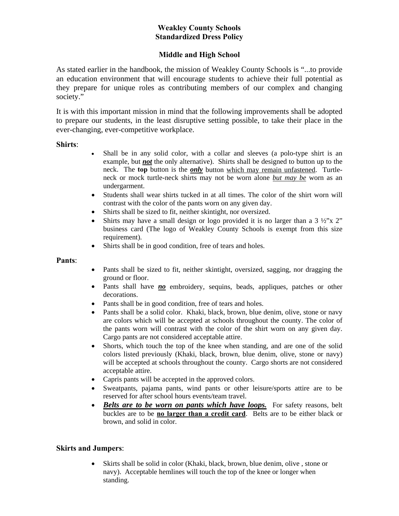# **Weakley County Schools Standardized Dress Policy**

## **Middle and High School**

As stated earlier in the handbook, the mission of Weakley County Schools is "...to provide an education environment that will encourage students to achieve their full potential as they prepare for unique roles as contributing members of our complex and changing society."

It is with this important mission in mind that the following improvements shall be adopted to prepare our students, in the least disruptive setting possible, to take their place in the ever-changing, ever-competitive workplace.

#### **Shirts**:

- Shall be in any solid color, with a collar and sleeves (a polo-type shirt is an example, but *not* the only alternative). Shirts shall be designed to button up to the neck. The **top** button is the *only* button which may remain unfastened. Turtleneck or mock turtle-neck shirts may not be worn alone *but may be* worn as an undergarment.
- Students shall wear shirts tucked in at all times. The color of the shirt worn will contrast with the color of the pants worn on any given day.
- Shirts shall be sized to fit, neither skintight, nor oversized.
- Shirts may have a small design or logo provided it is no larger than a  $3\frac{1}{2}$ "x 2" business card (The logo of Weakley County Schools is exempt from this size requirement).
- Shirts shall be in good condition, free of tears and holes.

#### **Pants**:

- Pants shall be sized to fit, neither skintight, oversized, sagging, nor dragging the ground or floor.
- Pants shall have *no* embroidery, sequins, beads, appliques, patches or other decorations.
- Pants shall be in good condition, free of tears and holes.
- Pants shall be a solid color. Khaki, black, brown, blue denim, olive, stone or navy are colors which will be accepted at schools throughout the county. The color of the pants worn will contrast with the color of the shirt worn on any given day. Cargo pants are not considered acceptable attire.
- Shorts, which touch the top of the knee when standing, and are one of the solid colors listed previously (Khaki, black, brown, blue denim, olive, stone or navy) will be accepted at schools throughout the county. Cargo shorts are not considered acceptable attire.
- Capris pants will be accepted in the approved colors.
- Sweatpants, pajama pants, wind pants or other leisure/sports attire are to be reserved for after school hours events/team travel.
- *Belts are to be worn on pants which have loops.* For safety reasons, belt buckles are to be **no larger than a credit card**. Belts are to be either black or brown, and solid in color.

### **Skirts and Jumpers**:

 Skirts shall be solid in color (Khaki, black, brown, blue denim, olive , stone or navy). Acceptable hemlines will touch the top of the knee or longer when standing.